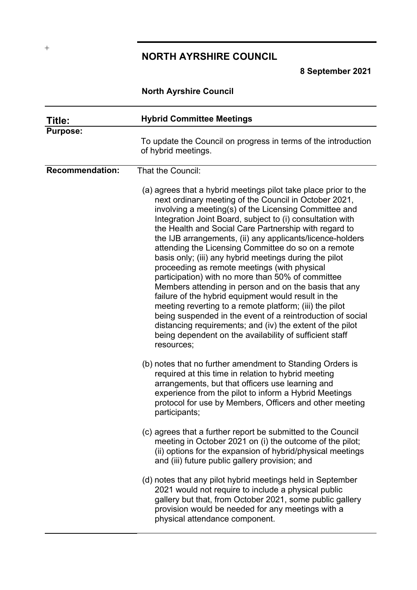# **NORTH AYRSHIRE COUNCIL**

**8 September 2021**

# **North Ayrshire Council**

| Title:                 | <b>Hybrid Committee Meetings</b>                                                                                                                                                                                                                                                                                                                                                                                                                                                                                                                                                                                                                                                                                                                                                                                                                                                                                                                                          |
|------------------------|---------------------------------------------------------------------------------------------------------------------------------------------------------------------------------------------------------------------------------------------------------------------------------------------------------------------------------------------------------------------------------------------------------------------------------------------------------------------------------------------------------------------------------------------------------------------------------------------------------------------------------------------------------------------------------------------------------------------------------------------------------------------------------------------------------------------------------------------------------------------------------------------------------------------------------------------------------------------------|
| <b>Purpose:</b>        | To update the Council on progress in terms of the introduction<br>of hybrid meetings.                                                                                                                                                                                                                                                                                                                                                                                                                                                                                                                                                                                                                                                                                                                                                                                                                                                                                     |
| <b>Recommendation:</b> | That the Council:                                                                                                                                                                                                                                                                                                                                                                                                                                                                                                                                                                                                                                                                                                                                                                                                                                                                                                                                                         |
|                        | (a) agrees that a hybrid meetings pilot take place prior to the<br>next ordinary meeting of the Council in October 2021,<br>involving a meeting(s) of the Licensing Committee and<br>Integration Joint Board, subject to (i) consultation with<br>the Health and Social Care Partnership with regard to<br>the IJB arrangements, (ii) any applicants/licence-holders<br>attending the Licensing Committee do so on a remote<br>basis only; (iii) any hybrid meetings during the pilot<br>proceeding as remote meetings (with physical<br>participation) with no more than 50% of committee<br>Members attending in person and on the basis that any<br>failure of the hybrid equipment would result in the<br>meeting reverting to a remote platform; (iii) the pilot<br>being suspended in the event of a reintroduction of social<br>distancing requirements; and (iv) the extent of the pilot<br>being dependent on the availability of sufficient staff<br>resources; |
|                        | (b) notes that no further amendment to Standing Orders is<br>required at this time in relation to hybrid meeting<br>arrangements, but that officers use learning and<br>experience from the pilot to inform a Hybrid Meetings<br>protocol for use by Members, Officers and other meeting<br>participants;                                                                                                                                                                                                                                                                                                                                                                                                                                                                                                                                                                                                                                                                 |
|                        | (c) agrees that a further report be submitted to the Council<br>meeting in October 2021 on (i) the outcome of the pilot;<br>(ii) options for the expansion of hybrid/physical meetings<br>and (iii) future public gallery provision; and                                                                                                                                                                                                                                                                                                                                                                                                                                                                                                                                                                                                                                                                                                                                  |
|                        | (d) notes that any pilot hybrid meetings held in September<br>2021 would not require to include a physical public<br>gallery but that, from October 2021, some public gallery<br>provision would be needed for any meetings with a<br>physical attendance component.                                                                                                                                                                                                                                                                                                                                                                                                                                                                                                                                                                                                                                                                                                      |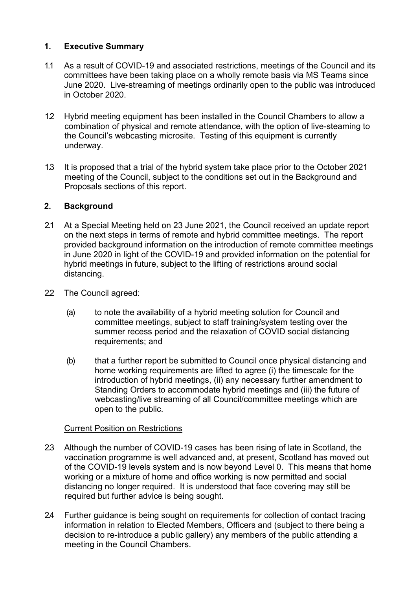# **1. Executive Summary**

- 1.1 As a result of COVID-19 and associated restrictions, meetings of the Council and its committees have been taking place on a wholly remote basis via MS Teams since June 2020. Live-streaming of meetings ordinarily open to the public was introduced in October 2020.
- 1.2 Hybrid meeting equipment has been installed in the Council Chambers to allow a combination of physical and remote attendance, with the option of live-steaming to the Council's webcasting microsite. Testing of this equipment is currently underway.
- 1.3 It is proposed that a trial of the hybrid system take place prior to the October 2021 meeting of the Council, subject to the conditions set out in the Background and Proposals sections of this report.

# **2. Background**

- 2.1 At a Special Meeting held on 23 June 2021, the Council received an update report on the next steps in terms of remote and hybrid committee meetings. The report provided background information on the introduction of remote committee meetings in June 2020 in light of the COVID-19 and provided information on the potential for hybrid meetings in future, subject to the lifting of restrictions around social distancing.
- 2.2 The Council agreed:
	- (a) to note the availability of a hybrid meeting solution for Council and committee meetings, subject to staff training/system testing over the summer recess period and the relaxation of COVID social distancing requirements; and
	- (b) that a further report be submitted to Council once physical distancing and home working requirements are lifted to agree (i) the timescale for the introduction of hybrid meetings, (ii) any necessary further amendment to Standing Orders to accommodate hybrid meetings and (iii) the future of webcasting/live streaming of all Council/committee meetings which are open to the public.

#### Current Position on Restrictions

- 2.3 Although the number of COVID-19 cases has been rising of late in Scotland, the vaccination programme is well advanced and, at present, Scotland has moved out of the COVID-19 levels system and is now beyond Level 0. This means that home working or a mixture of home and office working is now permitted and social distancing no longer required. It is understood that face covering may still be required but further advice is being sought.
- 2.4 Further guidance is being sought on requirements for collection of contact tracing information in relation to Elected Members, Officers and (subject to there being a decision to re-introduce a public gallery) any members of the public attending a meeting in the Council Chambers.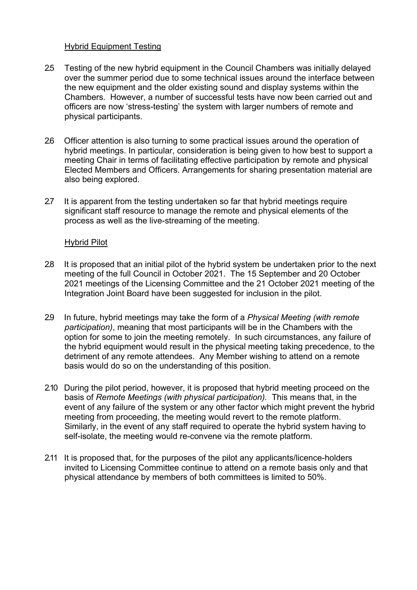#### Hybrid Equipment Testing

- 2.5 Testing of the new hybrid equipment in the Council Chambers was initially delayed over the summer period due to some technical issues around the interface between the new equipment and the older existing sound and display systems within the Chambers. However, a number of successful tests have now been carried out and officers are now 'stress-testing' the system with larger numbers of remote and physical participants.
- 2.6 Officer attention is also turning to some practical issues around the operation of hybrid meetings. In particular, consideration is being given to how best to support a meeting Chair in terms of facilitating effective participation by remote and physical Elected Members and Officers. Arrangements for sharing presentation material are also being explored.
- 2.7 It is apparent from the testing undertaken so far that hybrid meetings require significant staff resource to manage the remote and physical elements of the process as well as the live-streaming of the meeting.

#### Hybrid Pilot

- 2.8 It is proposed that an initial pilot of the hybrid system be undertaken prior to the next meeting of the full Council in October 2021. The 15 September and 20 October 2021 meetings of the Licensing Committee and the 21 October 2021 meeting of the Integration Joint Board have been suggested for inclusion in the pilot.
- 2.9 In future, hybrid meetings may take the form of a *Physical Meeting (with remote participation)*, meaning that most participants will be in the Chambers with the option for some to join the meeting remotely. In such circumstances, any failure of the hybrid equipment would result in the physical meeting taking precedence, to the detriment of any remote attendees. Any Member wishing to attend on a remote basis would do so on the understanding of this position.
- 2.10 During the pilot period, however, it is proposed that hybrid meeting proceed on the basis of *Remote Meetings (with physical participation).* This means that, in the event of any failure of the system or any other factor which might prevent the hybrid meeting from proceeding, the meeting would revert to the remote platform. Similarly, in the event of any staff required to operate the hybrid system having to self-isolate, the meeting would re-convene via the remote platform.
- 2.11 It is proposed that, for the purposes of the pilot any applicants/licence-holders invited to Licensing Committee continue to attend on a remote basis only and that physical attendance by members of both committees is limited to 50%.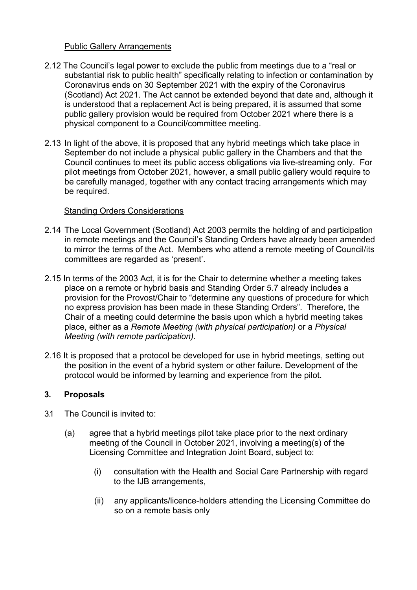#### Public Gallery Arrangements

- 2.12 The Council's legal power to exclude the public from meetings due to a "real or substantial risk to public health" specifically relating to infection or contamination by Coronavirus ends on 30 September 2021 with the expiry of the Coronavirus (Scotland) Act 2021. The Act cannot be extended beyond that date and, although it is understood that a replacement Act is being prepared, it is assumed that some public gallery provision would be required from October 2021 where there is a physical component to a Council/committee meeting.
- 2.13 In light of the above, it is proposed that any hybrid meetings which take place in September do not include a physical public gallery in the Chambers and that the Council continues to meet its public access obligations via live-streaming only. For pilot meetings from October 2021, however, a small public gallery would require to be carefully managed, together with any contact tracing arrangements which may be required.

# Standing Orders Considerations

- 2.14 The Local Government (Scotland) Act 2003 permits the holding of and participation in remote meetings and the Council's Standing Orders have already been amended to mirror the terms of the Act. Members who attend a remote meeting of Council/its committees are regarded as 'present'.
- 2.15 In terms of the 2003 Act, it is for the Chair to determine whether a meeting takes place on a remote or hybrid basis and Standing Order 5.7 already includes a provision for the Provost/Chair to "determine any questions of procedure for which no express provision has been made in these Standing Orders". Therefore, the Chair of a meeting could determine the basis upon which a hybrid meeting takes place, either as a *Remote Meeting (with physical participation)* or a *Physical Meeting (with remote participation).*
- 2.16 It is proposed that a protocol be developed for use in hybrid meetings, setting out the position in the event of a hybrid system or other failure. Development of the protocol would be informed by learning and experience from the pilot.

#### **3. Proposals**

- 3.1 The Council is invited to:
	- (a) agree that a hybrid meetings pilot take place prior to the next ordinary meeting of the Council in October 2021, involving a meeting(s) of the Licensing Committee and Integration Joint Board, subject to:
		- (i) consultation with the Health and Social Care Partnership with regard to the IJB arrangements,
		- (ii) any applicants/licence-holders attending the Licensing Committee do so on a remote basis only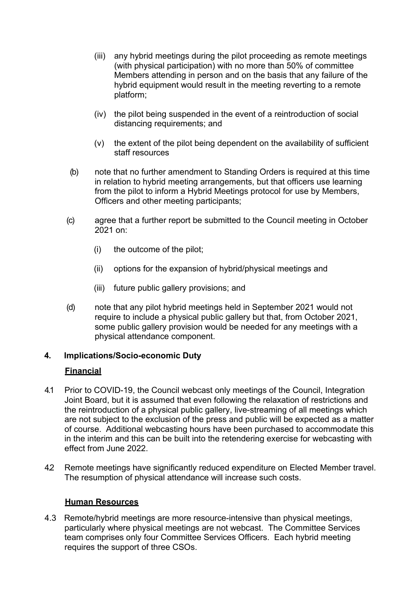- (iii) any hybrid meetings during the pilot proceeding as remote meetings (with physical participation) with no more than 50% of committee Members attending in person and on the basis that any failure of the hybrid equipment would result in the meeting reverting to a remote platform;
- (iv) the pilot being suspended in the event of a reintroduction of social distancing requirements; and
- (v) the extent of the pilot being dependent on the availability of sufficient staff resources
- (b) note that no further amendment to Standing Orders is required at this time in relation to hybrid meeting arrangements, but that officers use learning from the pilot to inform a Hybrid Meetings protocol for use by Members, Officers and other meeting participants;
- (c) agree that a further report be submitted to the Council meeting in October 2021 on:
	- (i) the outcome of the pilot;
	- (ii) options for the expansion of hybrid/physical meetings and
	- (iii) future public gallery provisions; and
- (d) note that any pilot hybrid meetings held in September 2021 would not require to include a physical public gallery but that, from October 2021, some public gallery provision would be needed for any meetings with a physical attendance component.

#### **4. Implications/Socio-economic Duty**

#### **Financial**

- 4.1 Prior to COVID-19, the Council webcast only meetings of the Council, Integration Joint Board, but it is assumed that even following the relaxation of restrictions and the reintroduction of a physical public gallery, live-streaming of all meetings which are not subject to the exclusion of the press and public will be expected as a matter of course. Additional webcasting hours have been purchased to accommodate this in the interim and this can be built into the retendering exercise for webcasting with effect from June 2022.
- 4.2 Remote meetings have significantly reduced expenditure on Elected Member travel. The resumption of physical attendance will increase such costs.

#### **Human Resources**

4.3 Remote/hybrid meetings are more resource-intensive than physical meetings, particularly where physical meetings are not webcast. The Committee Services team comprises only four Committee Services Officers. Each hybrid meeting requires the support of three CSOs.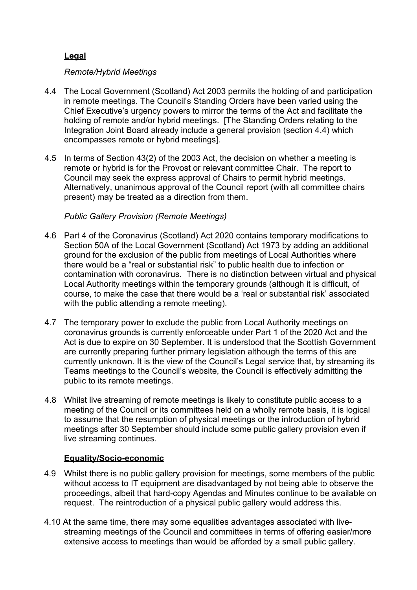# **Legal**

# *Remote/Hybrid Meetings*

- 4.4 The Local Government (Scotland) Act 2003 permits the holding of and participation in remote meetings. The Council's Standing Orders have been varied using the Chief Executive's urgency powers to mirror the terms of the Act and facilitate the holding of remote and/or hybrid meetings. [The Standing Orders relating to the Integration Joint Board already include a general provision (section 4.4) which encompasses remote or hybrid meetings].
- 4.5 In terms of Section 43(2) of the 2003 Act, the decision on whether a meeting is remote or hybrid is for the Provost or relevant committee Chair. The report to Council may seek the express approval of Chairs to permit hybrid meetings. Alternatively, unanimous approval of the Council report (with all committee chairs present) may be treated as a direction from them.

# *Public Gallery Provision (Remote Meetings)*

- 4.6 Part 4 of the Coronavirus (Scotland) Act 2020 contains temporary modifications to Section 50A of the Local Government (Scotland) Act 1973 by adding an additional ground for the exclusion of the public from meetings of Local Authorities where there would be a "real or substantial risk" to public health due to infection or contamination with coronavirus. There is no distinction between virtual and physical Local Authority meetings within the temporary grounds (although it is difficult, of course, to make the case that there would be a 'real or substantial risk' associated with the public attending a remote meeting).
- 4.7 The temporary power to exclude the public from Local Authority meetings on coronavirus grounds is currently enforceable under Part 1 of the 2020 Act and the Act is due to expire on 30 September. It is understood that the Scottish Government are currently preparing further primary legislation although the terms of this are currently unknown. It is the view of the Council's Legal service that, by streaming its Teams meetings to the Council's website, the Council is effectively admitting the public to its remote meetings.
- 4.8 Whilst live streaming of remote meetings is likely to constitute public access to a meeting of the Council or its committees held on a wholly remote basis, it is logical to assume that the resumption of physical meetings or the introduction of hybrid meetings after 30 September should include some public gallery provision even if live streaming continues.

# **Equality/Socio-economic**

- 4.9 Whilst there is no public gallery provision for meetings, some members of the public without access to IT equipment are disadvantaged by not being able to observe the proceedings, albeit that hard-copy Agendas and Minutes continue to be available on request. The reintroduction of a physical public gallery would address this.
- 4.10 At the same time, there may some equalities advantages associated with livestreaming meetings of the Council and committees in terms of offering easier/more extensive access to meetings than would be afforded by a small public gallery.